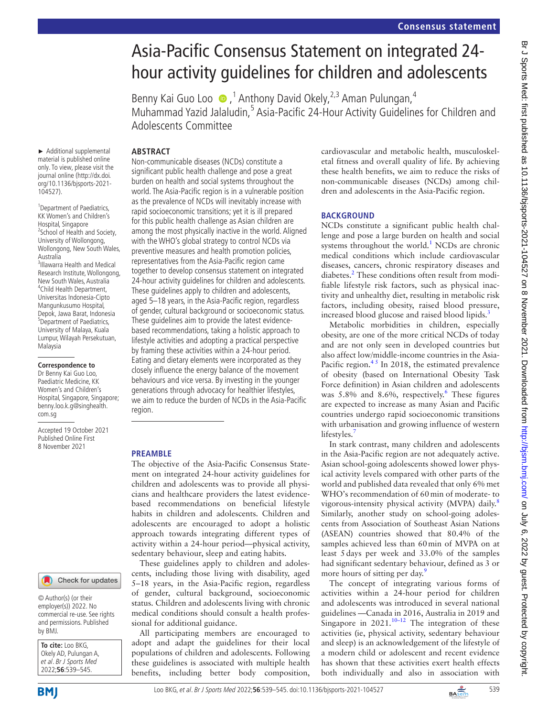# Asia-Pacific Consensus Statement on integrated 24 hour activity guidelines for children and adolescents

Benny Kai Guo Loo (D, <sup>1</sup> Anthony David Okely, <sup>2,3</sup> Aman Pulungan, <sup>4</sup> Muhammad Yazid Jalaludin,<sup>5</sup> Asia-Pacific 24-Hour Activity Guidelines for Children and Adolescents Committee

# **ABSTRACT**

► Additional supplemental material is published online only. To view, please visit the journal online ([http://dx.doi.](http://dx.doi.org/10.1136/bjsports-2021-104527) [org/10.1136/bjsports-2021-](http://dx.doi.org/10.1136/bjsports-2021-104527) [104527](http://dx.doi.org/10.1136/bjsports-2021-104527)).

<sup>1</sup> Department of Paediatrics, KK Women's and Children's Hospital, Singapore 2 School of Health and Society, University of Wollongong, Wollongong, New South Wales, Australia 3 Illawarra Health and Medical Research Institute, Wollongong, New South Wales, Australia 4 Child Health Department, Universitas Indonesia-Cipto Mangunkusumo Hospital, Depok, Jawa Barat, Indonesia 5 Department of Paediatrics, University of Malaya, Kuala Lumpur, Wilayah Persekutuan, Malaysia

#### **Correspondence to**

Dr Benny Kai Guo Loo, Paediatric Medicine, KK Women's and Children's Hospital, Singapore, Singapore; benny.loo.k.g@singhealth. com.sg

Accepted 19 October 2021 Published Online First 8 November 2021

#### Check for updates

© Author(s) (or their employer(s)) 2022. No commercial re-use. See rights and permissions. Published by BMJ.

| <b>To cite:</b> Loo BKG,<br>Okely AD, Pulungan A, |
|---------------------------------------------------|
| et al. Br J Sports Med                            |
| 2022;56:539-545.                                  |

Non-communicable diseases (NCDs) constitute a significant public health challenge and pose a great burden on health and social systems throughout the world. The Asia-Pacific region is in a vulnerable position as the prevalence of NCDs will inevitably increase with rapid socioeconomic transitions; yet it is ill prepared for this public health challenge as Asian children are among the most physically inactive in the world. Aligned with the WHO's global strategy to control NCDs via preventive measures and health promotion policies, representatives from the Asia-Pacific region came together to develop consensus statement on integrated 24-hour activity guidelines for children and adolescents. These guidelines apply to children and adolescents, aged 5–18 years, in the Asia-Pacific region, regardless of gender, cultural background or socioeconomic status. These guidelines aim to provide the latest evidencebased recommendations, taking a holistic approach to lifestyle activities and adopting a practical perspective by framing these activities within a 24-hour period. Eating and dietary elements were incorporated as they closely influence the energy balance of the movement behaviours and vice versa. By investing in the younger generations through advocacy for healthier lifestyles, we aim to reduce the burden of NCDs in the Asia-Pacific region.

## **PREAMBLE**

The objective of the Asia-Pacific Consensus Statement on integrated 24-hour activity guidelines for children and adolescents was to provide all physicians and healthcare providers the latest evidencebased recommendations on beneficial lifestyle habits in children and adolescents. Children and adolescents are encouraged to adopt a holistic approach towards integrating different types of activity within a 24-hour period—physical activity, sedentary behaviour, sleep and eating habits.

These guidelines apply to children and adolescents, including those living with disability, aged 5–18 years, in the Asia-Pacific region, regardless of gender, cultural background, socioeconomic status. Children and adolescents living with chronic medical conditions should consult a health professional for additional guidance.

All participating members are encouraged to adopt and adapt the guidelines for their local populations of children and adolescents. Following these guidelines is associated with multiple health benefits, including better body composition,

cardiovascular and metabolic health, musculoskeletal fitness and overall quality of life. By achieving these health benefits, we aim to reduce the risks of non-communicable diseases (NCDs) among children and adolescents in the Asia-Pacific region.

## **BACKGROUND**

NCDs constitute a significant public health challenge and pose a large burden on health and social systems throughout the world.<sup>[1](#page-5-0)</sup> NCDs are chronic medical conditions which include cardiovascular diseases, cancers, chronic respiratory diseases and diabetes.<sup>2</sup> These conditions often result from modifiable lifestyle risk factors, such as physical inactivity and unhealthy diet, resulting in metabolic risk factors, including obesity, raised blood pressure, increased blood glucose and raised blood lipids.<sup>[3](#page-5-2)</sup>

Metabolic morbidities in children, especially obesity, are one of the more critical NCDs of today and are not only seen in developed countries but also affect low/middle-income countries in the Asia-Pacific region. $4<sup>5</sup>$  In 2018, the estimated prevalence of obesity (based on International Obesity Task Force definition) in Asian children and adolescents was 5.8% and 8.[6](#page-5-4)%, respectively.<sup>6</sup> These figures are expected to increase as many Asian and Pacific countries undergo rapid socioeconomic transitions with urbanisation and growing influence of western lifestyles.

In stark contrast, many children and adolescents in the Asia-Pacific region are not adequately active. Asian school-going adolescents showed lower physical activity levels compared with other parts of the world and published data revealed that only 6% met WHO's recommendation of 60min of moderate- to vigorous-intensity physical activity (MVPA) daily.<sup>[8](#page-5-6)</sup> Similarly, another study on school-going adolescents from Association of Southeast Asian Nations (ASEAN) countries showed that 80.4% of the samples achieved less than 60min of MVPA on at least 5days per week and 33.0% of the samples had significant sedentary behaviour, defined as 3 or more hours of sitting per day.<sup>[9](#page-5-7)</sup>

The concept of integrating various forms of activities within a 24-hour period for children and adolescents was introduced in several national guidelines —Canada in 2016, Australia in 2019 and Singapore in  $2021$ .<sup>10–12</sup> The integration of these activities (ie, physical activity, sedentary behaviour and sleep) is an acknowledgement of the lifestyle of a modern child or adolescent and recent evidence has shown that these activities exert health effects both individually and also in association with

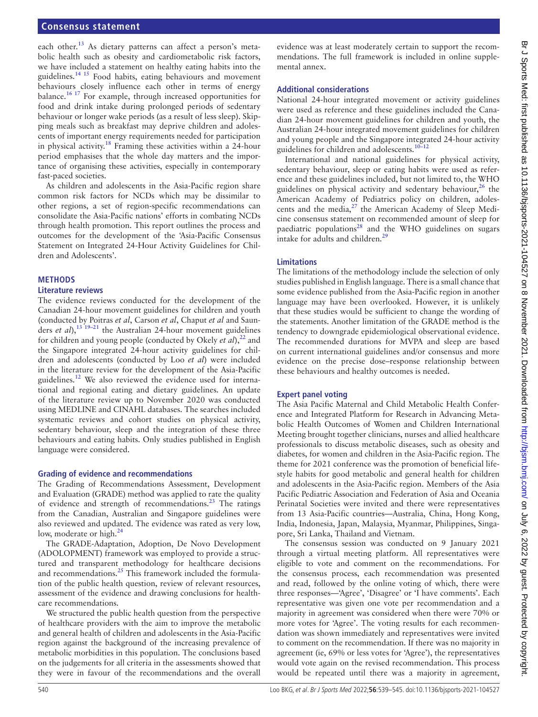#### **Consensus statement**

each other.<sup>[13](#page-5-9)</sup> As dietary patterns can affect a person's metabolic health such as obesity and cardiometabolic risk factors, we have included a statement on healthy eating habits into the guidelines.<sup>14 15</sup> Food habits, eating behaviours and movement behaviours closely influence each other in terms of energy balance.<sup>16 17</sup> For example, through increased opportunities for food and drink intake during prolonged periods of sedentary behaviour or longer wake periods (as a result of less sleep). Skipping meals such as breakfast may deprive children and adolescents of important energy requirements needed for participation in physical activity.<sup>[18](#page-5-12)</sup> Framing these activities within a 24-hour period emphasises that the whole day matters and the importance of organising these activities, especially in contemporary fast-paced societies.

As children and adolescents in the Asia-Pacific region share common risk factors for NCDs which may be dissimilar to other regions, a set of region-specific recommendations can consolidate the Asia-Pacific nations' efforts in combating NCDs through health promotion. This report outlines the process and outcomes for the development of the 'Asia-Pacific Consensus Statement on Integrated 24-Hour Activity Guidelines for Children and Adolescents'.

#### **METHODS**

#### **Literature reviews**

The evidence reviews conducted for the development of the Canadian 24-hour movement guidelines for children and youth (conducted by Poitras *et al*, Carson *et al*, Chaput *et al* and Saunders *et al*),[13 19–21](#page-5-9) the Australian 24-hour movement guidelines for children and young people (conducted by Okely *et al*),<sup>22</sup> and the Singapore integrated 24-hour activity guidelines for children and adolescents (conducted by Loo *et al*) were included in the literature review for the development of the Asia-Pacific guidelines.<sup>12</sup> We also reviewed the evidence used for international and regional eating and dietary guidelines. An update of the literature review up to November 2020 was conducted using MEDLINE and CINAHL databases. The searches included systematic reviews and cohort studies on physical activity, sedentary behaviour, sleep and the integration of these three behaviours and eating habits. Only studies published in English language were considered.

#### **Grading of evidence and recommendations**

The Grading of Recommendations Assessment, Development and Evaluation (GRADE) method was applied to rate the quality of evidence and strength of recommendations.<sup>[23](#page-5-15)</sup> The ratings from the Canadian, Australian and Singapore guidelines were also reviewed and updated. The evidence was rated as very low, low, moderate or high.<sup>[24](#page-5-16)</sup>

The GRADE-Adaptation, Adoption, De Novo Development (ADOLOPMENT) framework was employed to provide a structured and transparent methodology for healthcare decisions and recommendations.<sup>25</sup> This framework included the formulation of the public health question, review of relevant resources, assessment of the evidence and drawing conclusions for healthcare recommendations.

We structured the public health question from the perspective of healthcare providers with the aim to improve the metabolic and general health of children and adolescents in the Asia-Pacific region against the background of the increasing prevalence of metabolic morbidities in this population. The conclusions based on the judgements for all criteria in the assessments showed that they were in favour of the recommendations and the overall

evidence was at least moderately certain to support the recommendations. The full framework is included in [online supple](https://dx.doi.org/10.1136/bjsports-2021-104527)[mental annex.](https://dx.doi.org/10.1136/bjsports-2021-104527)

#### **Additional considerations**

National 24-hour integrated movement or activity guidelines were used as reference and these guidelines included the Canadian 24-hour movement guidelines for children and youth, the Australian 24-hour integrated movement guidelines for children and young people and the Singapore integrated 24-hour activity guidelines for children and adolescents.[10–12](#page-5-8)

International and national guidelines for physical activity, sedentary behaviour, sleep or eating habits were used as reference and these guidelines included, but not limited to, the WHO guidelines on physical activity and sedentary behaviour,  $26$  the American Academy of Pediatrics policy on children, adolescents and the media,<sup>27</sup> the American Academy of Sleep Medicine consensus statement on recommended amount of sleep for paediatric populations<sup>28</sup> and the WHO guidelines on sugars intake for adults and children[.29](#page-5-21)

#### **Limitations**

The limitations of the methodology include the selection of only studies published in English language. There is a small chance that some evidence published from the Asia-Pacific region in another language may have been overlooked. However, it is unlikely that these studies would be sufficient to change the wording of the statements. Another limitation of the GRADE method is the tendency to downgrade epidemiological observational evidence. The recommended durations for MVPA and sleep are based on current international guidelines and/or consensus and more evidence on the precise dose–response relationship between these behaviours and healthy outcomes is needed.

#### **Expert panel voting**

The Asia Pacific Maternal and Child Metabolic Health Conference and Integrated Platform for Research in Advancing Metabolic Health Outcomes of Women and Children International Meeting brought together clinicians, nurses and allied healthcare professionals to discuss metabolic diseases, such as obesity and diabetes, for women and children in the Asia-Pacific region. The theme for 2021 conference was the promotion of beneficial lifestyle habits for good metabolic and general health for children and adolescents in the Asia-Pacific region. Members of the Asia Pacific Pediatric Association and Federation of Asia and Oceania Perinatal Societies were invited and there were representatives from 13 Asia-Pacific countries—Australia, China, Hong Kong, India, Indonesia, Japan, Malaysia, Myanmar, Philippines, Singapore, Sri Lanka, Thailand and Vietnam.

The consensus session was conducted on 9 January 2021 through a virtual meeting platform. All representatives were eligible to vote and comment on the recommendations. For the consensus process, each recommendation was presented and read, followed by the online voting of which, there were three responses—'Agree', 'Disagree' or 'I have comments'. Each representative was given one vote per recommendation and a majority in agreement was considered when there were 70% or more votes for 'Agree'. The voting results for each recommendation was shown immediately and representatives were invited to comment on the recommendation. If there was no majority in agreement (ie, 69% or less votes for 'Agree'), the representatives would vote again on the revised recommendation. This process would be repeated until there was a majority in agreement,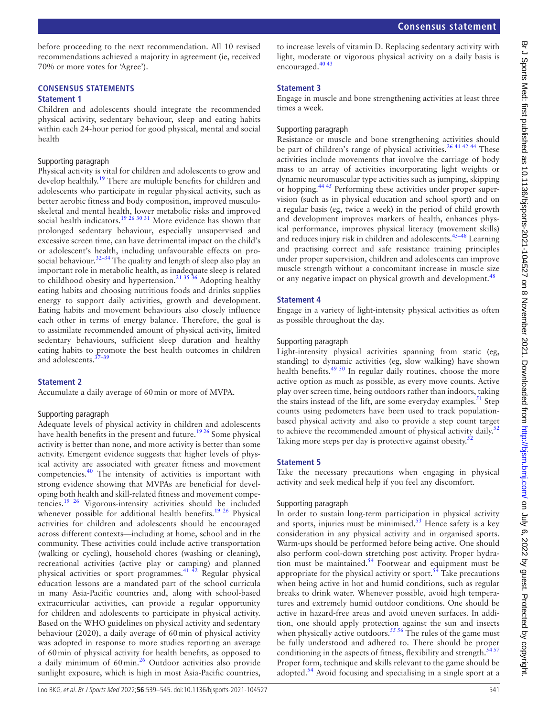before proceeding to the next recommendation. All 10 revised recommendations achieved a majority in agreement (ie, received 70% or more votes for 'Agree').

# **CONSENSUS STATEMENTS**

## **Statement 1**

Children and adolescents should integrate the recommended physical activity, sedentary behaviour, sleep and eating habits within each 24-hour period for good physical, mental and social health

#### Supporting paragraph

Physical activity is vital for children and adolescents to grow and develop healthily.<sup>[19](#page-5-22)</sup> There are multiple benefits for children and adolescents who participate in regular physical activity, such as better aerobic fitness and body composition, improved musculoskeletal and mental health, lower metabolic risks and improved social health indicators.<sup>[19 26 30 31](#page-5-22)</sup> More evidence has shown that prolonged sedentary behaviour, especially unsupervised and excessive screen time, can have detrimental impact on the child's or adolescent's health, including unfavourable effects on prosocial behaviour.<sup>32-34</sup> The quality and length of sleep also play an important role in metabolic health, as inadequate sleep is related to childhood obesity and hypertension.<sup>21 35</sup> 36 Adopting healthy eating habits and choosing nutritious foods and drinks supplies energy to support daily activities, growth and development. Eating habits and movement behaviours also closely influence each other in terms of energy balance. Therefore, the goal is to assimilate recommended amount of physical activity, limited sedentary behaviours, sufficient sleep duration and healthy eating habits to promote the best health outcomes in children and adolescents.<sup>3</sup>

## **Statement 2**

Accumulate a daily average of 60min or more of MVPA.

#### Supporting paragraph

Adequate levels of physical activity in children and adolescents have health benefits in the present and future.<sup>[19 26](#page-5-22)</sup> Some physical activity is better than none, and more activity is better than some activity. Emergent evidence suggests that higher levels of physical activity are associated with greater fitness and movement competencies[.40](#page-5-26) The intensity of activities is important with strong evidence showing that MVPAs are beneficial for developing both health and skill-related fitness and movement competencies.[19 26](#page-5-22) Vigorous-intensity activities should be included whenever possible for additional health benefits.<sup>19 26</sup> Physical activities for children and adolescents should be encouraged across different contexts—including at home, school and in the community. These activities could include active transportation (walking or cycling), household chores (washing or cleaning), recreational activities (active play or camping) and planned physical activities or sport programmes.[41 42](#page-5-27) Regular physical education lessons are a mandated part of the school curricula in many Asia-Pacific countries and, along with school-based extracurricular activities, can provide a regular opportunity for children and adolescents to participate in physical activity. Based on the WHO guidelines on physical activity and sedentary behaviour (2020), a daily average of 60min of physical activity was adopted in response to more studies reporting an average of 60min of physical activity for health benefits, as opposed to a daily minimum of 60min.<sup>26</sup> Outdoor activities also provide sunlight exposure, which is high in most Asia-Pacific countries,

to increase levels of vitamin D. Replacing sedentary activity with light, moderate or vigorous physical activity on a daily basis is encouraged.<sup>[40 43](#page-5-26)</sup>

## **Statement 3**

Engage in muscle and bone strengthening activities at least three times a week.

#### Supporting paragraph

Resistance or muscle and bone strengthening activities should be part of children's range of physical activities.<sup>26 41 42 44</sup> These activities include movements that involve the carriage of body mass to an array of activities incorporating light weights or dynamic neuromuscular type activities such as jumping, skipping or hopping.[44 45](#page-5-28) Performing these activities under proper supervision (such as in physical education and school sport) and on a regular basis (eg, twice a week) in the period of child growth and development improves markers of health, enhances physical performance, improves physical literacy (movement skills) and reduces injury risk in children and adolescents.[45–48](#page-5-29) Learning and practising correct and safe resistance training principles under proper supervision, children and adolescents can improve muscle strength without a concomitant increase in muscle size or any negative impact on physical growth and development.<sup>48</sup>

#### **Statement 4**

Engage in a variety of light-intensity physical activities as often as possible throughout the day.

#### Supporting paragraph

Light-intensity physical activities spanning from static (eg, standing) to dynamic activities (eg, slow walking) have shown health benefits.<sup>49 50</sup> In regular daily routines, choose the more active option as much as possible, as every move counts. Active play over screen time, being outdoors rather than indoors, taking the stairs instead of the lift, are some everyday examples.<sup>[51](#page-5-32)</sup> Step counts using pedometers have been used to track populationbased physical activity and also to provide a step count target to achieve the recommended amount of physical activity daily.<sup>5</sup> Taking more steps per day is protective against obesity.<sup>[52](#page-6-0)</sup>

#### **Statement 5**

Take the necessary precautions when engaging in physical activity and seek medical help if you feel any discomfort.

#### Supporting paragraph

In order to sustain long-term participation in physical activity and sports, injuries must be minimised. $53$  Hence safety is a key consideration in any physical activity and in organised sports. Warm-ups should be performed before being active. One should also perform cool-down stretching post activity. Proper hydration must be maintained. $54$  Footwear and equipment must be appropriate for the physical activity or sport. $54$  Take precautions when being active in hot and humid conditions, such as regular breaks to drink water. Whenever possible, avoid high temperatures and extremely humid outdoor conditions. One should be active in hazard-free areas and avoid uneven surfaces. In addition, one should apply protection against the sun and insects when physically active outdoors.<sup>55 56</sup> The rules of the game must be fully understood and adhered to. There should be proper conditioning in the aspects of fitness, flexibility and strength. $5457$ Proper form, technique and skills relevant to the game should be adopted.<sup>[54](#page-6-2)</sup> Avoid focusing and specialising in a single sport at a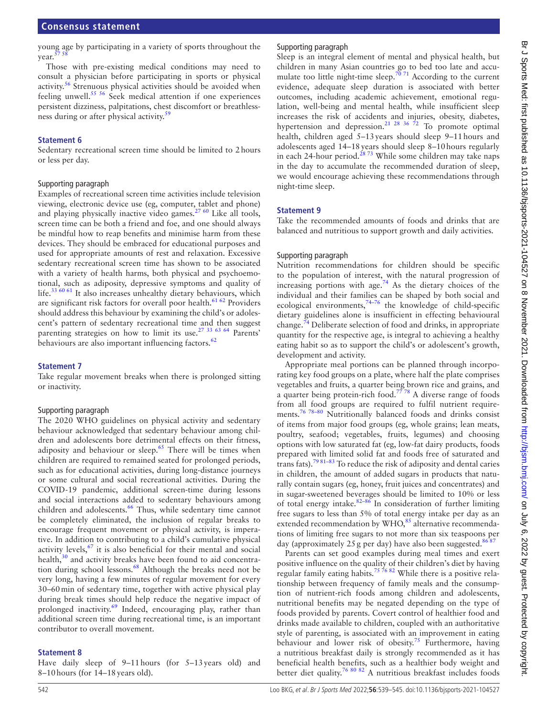young age by participating in a variety of sports throughout the year.

Those with pre-existing medical conditions may need to consult a physician before participating in sports or physical activity[.56](#page-6-5) Strenuous physical activities should be avoided when feeling unwell.<sup>55 56</sup> Seek medical attention if one experiences persistent dizziness, palpitations, chest discomfort or breathless-ness during or after physical activity.<sup>[59](#page-6-6)</sup>

#### **Statement 6**

Sedentary recreational screen time should be limited to 2hours or less per day.

#### Supporting paragraph

Examples of recreational screen time activities include television viewing, electronic device use (eg, computer, tablet and phone) and playing physically inactive video games.<sup>[27 60](#page-5-19)</sup> Like all tools, screen time can be both a friend and foe, and one should always be mindful how to reap benefits and minimise harm from these devices. They should be embraced for educational purposes and used for appropriate amounts of rest and relaxation. Excessive sedentary recreational screen time has shown to be associated with a variety of health harms, both physical and psychoemotional, such as adiposity, depressive symptoms and quality of life.<sup>[33 60 61](#page-5-33)</sup> It also increases unhealthy dietary behaviours, which are significant risk factors for overall poor health. $61 62$  Providers should address this behaviour by examining the child's or adolescent's pattern of sedentary recreational time and then suggest parenting strategies on how to limit its use.[27 33 63 64](#page-5-19) Parents' behaviours are also important influencing factors.<sup>62</sup>

## **Statement 7**

Take regular movement breaks when there is prolonged sitting or inactivity.

## Supporting paragraph

The 2020 WHO guidelines on physical activity and sedentary behaviour acknowledged that sedentary behaviour among children and adolescents bore detrimental effects on their fitness, adiposity and behaviour or sleep. $65$  There will be times when children are required to remained seated for prolonged periods, such as for educational activities, during long-distance journeys or some cultural and social recreational activities. During the COVID-19 pandemic, additional screen-time during lessons and social interactions added to sedentary behaviours among children and adolescents.<sup>66</sup> Thus, while sedentary time cannot be completely eliminated, the inclusion of regular breaks to encourage frequent movement or physical activity, is imperative. In addition to contributing to a child's cumulative physical activity levels, $67$  it is also beneficial for their mental and social health,<sup>30</sup> and activity breaks have been found to aid concentra-tion during school lessons.<sup>[68](#page-6-12)</sup> Although the breaks need not be very long, having a few minutes of regular movement for every 30–60min of sedentary time, together with active physical play during break times should help reduce the negative impact of prolonged inactivity.<sup>[69](#page-6-13)</sup> Indeed, encouraging play, rather than additional screen time during recreational time, is an important contributor to overall movement.

## **Statement 8**

Have daily sleep of 9–11hours (for 5–13years old) and 8–10hours (for 14–18years old).

# Supporting paragraph

Sleep is an integral element of mental and physical health, but children in many Asian countries go to bed too late and accu-mulate too little night-time sleep.<sup>[70 71](#page-6-14)</sup> According to the current evidence, adequate sleep duration is associated with better outcomes, including academic achievement, emotional regulation, well-being and mental health, while insufficient sleep increases the risk of accidents and injuries, obesity, diabetes, hypertension and depression.<sup>21</sup> <sup>28</sup> 36<sup> $72$ </sup> To promote optimal health, children aged 5–13years should sleep 9–11hours and adolescents aged 14–18years should sleep 8–10hours regularly in each 24-hour period.<sup>2873</sup> While some children may take naps in the day to accumulate the recommended duration of sleep, we would encourage achieving these recommendations through night-time sleep.

# **Statement 9**

Take the recommended amounts of foods and drinks that are balanced and nutritious to support growth and daily activities.

## Supporting paragraph

Nutrition recommendations for children should be specific to the population of interest, with the natural progression of increasing portions with age.<sup>[74](#page-6-15)</sup> As the dietary choices of the individual and their families can be shaped by both social and ecological environments,  $74-76$  the knowledge of child-specific dietary guidelines alone is insufficient in effecting behavioural change.[74](#page-6-15) Deliberate selection of food and drinks, in appropriate quantity for the respective age, is integral to achieving a healthy eating habit so as to support the child's or adolescent's growth, development and activity.

Appropriate meal portions can be planned through incorporating key food groups on a plate, where half the plate comprises vegetables and fruits, a quarter being brown rice and grains, and a quarter being protein-rich food.<sup>7778</sup> A diverse range of foods from all food groups are required to fulfil nutrient requirements.[76 78–80](#page-6-17) Nutritionally balanced foods and drinks consist of items from major food groups (eg, whole grains; lean meats, poultry, seafood; vegetables, fruits, legumes) and choosing options with low saturated fat (eg, low-fat dairy products, foods prepared with limited solid fat and foods free of saturated and trans fats).<sup>79 81-83</sup> To reduce the risk of adiposity and dental caries in children, the amount of added sugars in products that naturally contain sugars (eg, honey, fruit juices and concentrates) and in sugar-sweetened beverages should be limited to 10% or less of total energy intake.  $82-86$  In consideration of further limiting free sugars to less than 5% of total energy intake per day as an extended recommendation by  $WHO$ ,<sup>85</sup> alternative recommendations of limiting free sugars to not more than six teaspoons per day (approximately 25 g per day) have also been suggested.<sup>8687</sup>

Parents can set good examples during meal times and exert positive influence on the quality of their children's diet by having regular family eating habits.<sup>75 76</sup> 82 While there is a positive relationship between frequency of family meals and the consumption of nutrient-rich foods among children and adolescents, nutritional benefits may be negated depending on the type of foods provided by parents. Covert control of healthier food and drinks made available to children, coupled with an authoritative style of parenting, is associated with an improvement in eating behaviour and lower risk of obesity.<sup>75</sup> Furthermore, having a nutritious breakfast daily is strongly recommended as it has beneficial health benefits, such as a healthier body weight and better diet quality.<sup>76 80 82</sup> A nutritious breakfast includes foods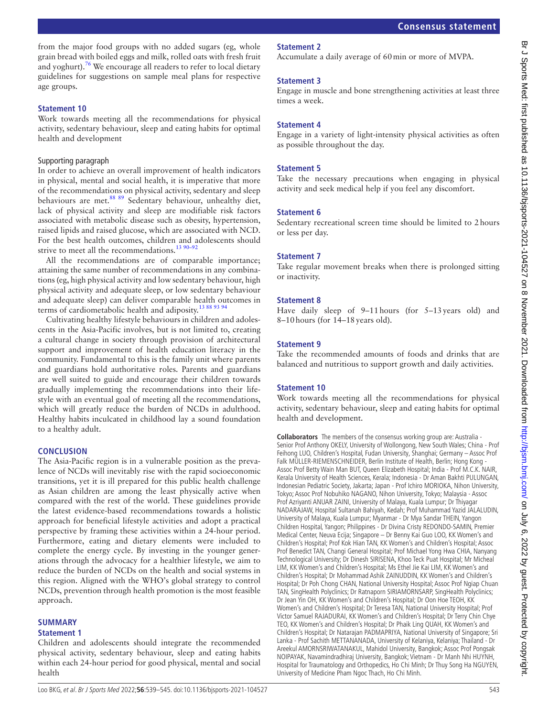from the major food groups with no added sugars (eg, whole grain bread with boiled eggs and milk, rolled oats with fresh fruit and yoghurt).<sup>76</sup> We encourage all readers to refer to local dietary guidelines for suggestions on sample meal plans for respective age groups.

#### **Statement 10**

Work towards meeting all the recommendations for physical activity, sedentary behaviour, sleep and eating habits for optimal health and development

#### Supporting paragraph

In order to achieve an overall improvement of health indicators in physical, mental and social health, it is imperative that more of the recommendations on physical activity, sedentary and sleep behaviours are met.<sup>88 89</sup> Sedentary behaviour, unhealthy diet, lack of physical activity and sleep are modifiable risk factors associated with metabolic disease such as obesity, hypertension, raised lipids and raised glucose, which are associated with NCD. For the best health outcomes, children and adolescents should strive to meet all the recommendations.<sup>13 90-92</sup>

All the recommendations are of comparable importance; attaining the same number of recommendations in any combinations (eg, high physical activity and low sedentary behaviour, high physical activity and adequate sleep, or low sedentary behaviour and adequate sleep) can deliver comparable health outcomes in terms of cardiometabolic health and adiposity[.13 88 93 94](#page-5-9)

Cultivating healthy lifestyle behaviours in children and adolescents in the Asia-Pacific involves, but is not limited to, creating a cultural change in society through provision of architectural support and improvement of health education literacy in the community. Fundamental to this is the family unit where parents and guardians hold authoritative roles. Parents and guardians are well suited to guide and encourage their children towards gradually implementing the recommendations into their lifestyle with an eventual goal of meeting all the recommendations, which will greatly reduce the burden of NCDs in adulthood. Healthy habits inculcated in childhood lay a sound foundation to a healthy adult.

## **CONCLUSION**

The Asia-Pacific region is in a vulnerable position as the prevalence of NCDs will inevitably rise with the rapid socioeconomic transitions, yet it is ill prepared for this public health challenge as Asian children are among the least physically active when compared with the rest of the world. These guidelines provide the latest evidence-based recommendations towards a holistic approach for beneficial lifestyle activities and adopt a practical perspective by framing these activities within a 24-hour period. Furthermore, eating and dietary elements were included to complete the energy cycle. By investing in the younger generations through the advocacy for a healthier lifestyle, we aim to reduce the burden of NCDs on the health and social systems in this region. Aligned with the WHO's global strategy to control NCDs, prevention through health promotion is the most feasible approach.

## **SUMMARY**

#### **Statement 1**

Children and adolescents should integrate the recommended physical activity, sedentary behaviour, sleep and eating habits within each 24-hour period for good physical, mental and social health

# **Statement 2**

Accumulate a daily average of 60min or more of MVPA.

## **Statement 3**

Engage in muscle and bone strengthening activities at least three times a week.

# **Statement 4**

Engage in a variety of light-intensity physical activities as often as possible throughout the day.

## **Statement 5**

Take the necessary precautions when engaging in physical activity and seek medical help if you feel any discomfort.

## **Statement 6**

Sedentary recreational screen time should be limited to 2hours or less per day.

# **Statement 7**

Take regular movement breaks when there is prolonged sitting or inactivity.

# **Statement 8**

Have daily sleep of 9–11hours (for 5–13years old) and 8–10hours (for 14–18years old).

# **Statement 9**

Take the recommended amounts of foods and drinks that are balanced and nutritious to support growth and daily activities.

## **Statement 10**

Work towards meeting all the recommendations for physical activity, sedentary behaviour, sleep and eating habits for optimal health and development.

**Collaborators** The members of the consensus working group are: Australia - Senior Prof Anthony OKELY, University of Wollongong, New South Wales; China - Prof Feihong LUO, Children's Hospital, Fudan University, Shanghai; Germany – Assoc Prof Falk MÜLLER-RIEMENSCHNEIDER, Berlin Institute of Health, Berlin; Hong Kong -Assoc Prof Betty Wain Man BUT, Queen Elizabeth Hospital; India - Prof M.C.K. NAIR, Kerala University of Health Sciences, Kerala; Indonesia - Dr Aman Bakhti PULUNGAN, Indonesian Pediatric Society, Jakarta; Japan - Prof Ichiro MORIOKA, Nihon University, Tokyo; Assoc Prof Nobuhiko NAGANO, Nihon University, Tokyo; Malaysia - Assoc Prof Azriyanti ANUAR ZAINI, University of Malaya, Kuala Lumpur; Dr Thiyagar NADARAJAW, Hospital Sultanah Bahiyah, Kedah; Prof Muhammad Yazid JALALUDIN, University of Malaya, Kuala Lumpur; Myanmar - Dr Mya Sandar THEIN, Yangon Children Hospital, Yangon; Philippines - Dr Divina Cristy REDONDO-SAMIN, Premier Medical Center, Neuva Ecija; Singapore – Dr Benny Kai Guo LOO, KK Women's and Children's Hospital; Prof Kok Hian TAN, KK Women's and Children's Hospital; Assoc Prof Benedict TAN, Changi General Hospital; Prof Michael Yong Hwa CHIA, Nanyang Technological University; Dr Dinesh SIRISENA, Khoo Teck Puat Hospital; Mr Micheal LIM, KK Women's and Children's Hospital; Ms Ethel Jie Kai LIM, KK Women's and Children's Hospital; Dr Mohammad Ashik ZAINUDDIN, KK Women's and Children's Hospital; Dr Poh Chong CHAN, National University Hospital; Assoc Prof Ngiap Chuan TAN, SingHealth Polyclinics; Dr Ratnaporn SIRIAMORNSARP, SingHealth Polyclinics; Dr Jean Yin OH, KK Women's and Children's Hospital; Dr Oon Hoe TEOH, KK Women's and Children's Hospital; Dr Teresa TAN, National University Hospital; Prof Victor Samuel RAJADURAI, KK Women's and Children's Hospital; Dr Terry Chin Chye TEO, KK Women's and Children's Hospital; Dr Phaik Ling QUAH, KK Women's and Children's Hospital; Dr Natarajan PADMAPRIYA, National University of Singapore; Sri Lanka - Prof Sachith METTANANADA, University of Kelaniya, Kelaniya; Thailand - Dr Areekul AMORNSRIWATANAKUL, Mahidol University, Bangkok; Assoc Prof Pongsak NOIPAYAK, Navamindradhiraj University, Bangkok; Vietnam - Dr Manh Nhi HUYNH, Hospital for Traumatology and Orthopedics, Ho Chi Minh; Dr Thuy Song Ha NGUYEN, University of Medicine Pham Ngoc Thach, Ho Chi Minh.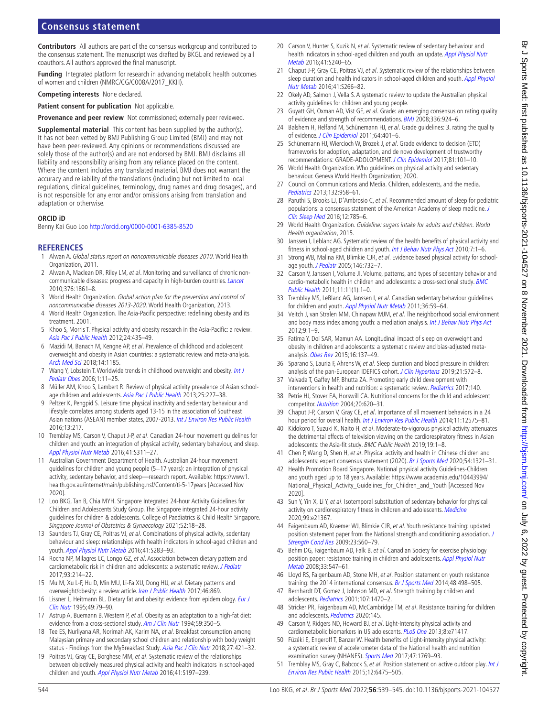# **Consensus statement**

**Contributors** All authors are part of the consensus workgroup and contributed to the consensus statement. The manuscript was drafted by BKGL and reviewed by all coauthors. All authors approved the final manuscript.

**Funding** Integrated platform for research in advancing metabolic health outcomes of women and children (NMRC/CG/C008A/2017\_KKH).

**Competing interests** None declared.

**Patient consent for publication** Not applicable.

**Provenance and peer review** Not commissioned; externally peer reviewed.

**Supplemental material** This content has been supplied by the author(s). It has not been vetted by BMJ Publishing Group Limited (BMJ) and may not have been peer-reviewed. Any opinions or recommendations discussed are solely those of the author(s) and are not endorsed by BMJ. BMJ disclaims all liability and responsibility arising from any reliance placed on the content. Where the content includes any translated material, BMJ does not warrant the accuracy and reliability of the translations (including but not limited to local regulations, clinical guidelines, terminology, drug names and drug dosages), and is not responsible for any error and/or omissions arising from translation and adaptation or otherwise.

#### **ORCID iD**

Benny Kai Guo Loo<http://orcid.org/0000-0001-6385-8520>

#### **REFERENCES**

- <span id="page-5-0"></span>1 Alwan A. Global status report on noncommunicable diseases 2010. World Health Organization, 2011.
- <span id="page-5-1"></span>2 Alwan A, Maclean DR, Riley LM, et al. Monitoring and surveillance of chronic noncommunicable diseases: progress and capacity in high-burden countries. [Lancet](http://dx.doi.org/10.1016/S0140-6736(10)61853-3) 2010;376:1861–8.
- <span id="page-5-2"></span>3 World Health Organization. Global action plan for the prevention and control of noncommunicable diseases 2013-2020. World Health Organization, 2013.
- <span id="page-5-3"></span>4 World Health Organization. The Asia-Pacific perspective: redefining obesity and its treatment. 2001.
- 5 Khoo S, Morris T. Physical activity and obesity research in the Asia-Pacific: a review. [Asia Pac J Public Health](http://dx.doi.org/10.1177/1010539512446368) 2012;24:435–49.
- <span id="page-5-4"></span>6 Mazidi M, Banach M, Kengne AP, et al. Prevalence of childhood and adolescent overweight and obesity in Asian countries: a systematic review and meta-analysis. [Arch Med Sci](http://dx.doi.org/10.5114/aoms.2018.79001) 2018;14:1185.
- <span id="page-5-5"></span>7 Wang Y, Lobstein T. Worldwide trends in childhood overweight and obesity. Int J [Pediatr Obes](http://dx.doi.org/10.1080/17477160600586747) 2006;1:11–25.
- <span id="page-5-6"></span>8 Müller AM, Khoo S, Lambert R. Review of physical activity prevalence of Asian school-age children and adolescents. [Asia Pac J Public Health](http://dx.doi.org/10.1177/1010539513481494) 2013;25:227-38.
- <span id="page-5-7"></span>9 Peltzer K, Pengpid S. Leisure time physical inactivity and sedentary behaviour and lifestyle correlates among students aged 13-15 in the association of Southeast Asian nations (ASEAN) member states, 2007-2013. [Int J Environ Res Public Health](http://dx.doi.org/10.3390/ijerph13020217) 2016;13:217.
- <span id="page-5-8"></span>10 Tremblay MS, Carson V, Chaput J-P, et al. Canadian 24-hour movement guidelines for children and youth: an integration of physical activity, sedentary behaviour, and sleep. [Appl Physiol Nutr Metab](http://dx.doi.org/10.1139/apnm-2016-0151) 2016;41:S311–27.
- 11 Australian Government Department of Health. Australian 24-hour movement guidelines for children and young people (5-17 years): an integration of physical activity, sedentary behavior, and sleep—research report. Available: [https://www1.](https://www1.health.gov.au/internet/main/publishing.nsf/Content/ti-5-17years) [health.gov.au/internet/main/publishing.nsf/Content/ti-5-17years](https://www1.health.gov.au/internet/main/publishing.nsf/Content/ti-5-17years) [Accessed Nov 2020].
- <span id="page-5-14"></span>12 Loo BKG, Tan B, Chia MYH. Singapore Integrated 24-hour Activity Guidelines for Children and Adolescents Study Group. The Singapore integrated 24-hour activity guidelines for children & adolescents. College of Paediatrics & Child Health Singapore. Singapore Journal of Obstetrics & Gynaecology 2021;52:18–28.
- <span id="page-5-9"></span>13 Saunders TJ, Gray CE, Poitras VJ, et al. Combinations of physical activity, sedentary behaviour and sleep: relationships with health indicators in school-aged children and youth. [Appl Physiol Nutr Metab](http://dx.doi.org/10.1139/apnm-2015-0626) 2016;41:S283–93.
- <span id="page-5-10"></span>14 Rocha NP, Milagres LC, Longo GZ, et al. Association between dietary pattern and cardiometabolic risk in children and adolescents: a systematic review. *[J Pediatr](http://dx.doi.org/10.1016/j.jped.2017.01.002)* 2017;93:214–22.
- 15 Mu M, Xu L-F, Hu D, Min MU, Li-Fa XU, Dong HU, et al. Dietary patterns and overweight/obesity: a review article. [Iran J Public Health](http://www.ncbi.nlm.nih.gov/pubmed/28845396) 2017;46:869.
- <span id="page-5-11"></span>16 Lissner L, Heitmann BL. Dietary fat and obesity: evidence from epidemiology. Eur J [Clin Nutr](http://www.ncbi.nlm.nih.gov/pubmed/7743988) 1995;49:79–90.
- 17 Astrup A, Buemann B, Western P, et al. Obesity as an adaptation to a high-fat diet: evidence from a cross-sectional study. [Am J Clin Nutr](http://dx.doi.org/10.1093/ajcn/59.2.350) 1994;59:350-5.
- <span id="page-5-12"></span>18 Tee ES, Nurliyana AR, Norimah AK, Karim NA, et al. Breakfast consumption among Malaysian primary and secondary school children and relationship with body weight status - Findings from the MyBreakfast Study. [Asia Pac J Clin Nutr](http://dx.doi.org/10.6133/apjcn.062017.12) 2018;27:421-32.
- <span id="page-5-22"></span>19 Poitras VJ, Gray CE, Borghese MM, et al. Systematic review of the relationships between objectively measured physical activity and health indicators in school-aged children and youth. [Appl Physiol Nutr Metab](http://dx.doi.org/10.1139/apnm-2015-0663) 2016;41:S197-239.
- 20 Carson V, Hunter S, Kuzik N, et al. Systematic review of sedentary behaviour and health indicators in school-aged children and youth: an update. Appl Physiol Nutr [Metab](http://dx.doi.org/10.1139/apnm-2015-0630) 2016;41:S240–65.
- <span id="page-5-24"></span>21 Chaput J-P, Gray CE, Poitras VJ, et al. Systematic review of the relationships between sleep duration and health indicators in school-aged children and youth. Appl Physiol [Nutr Metab](http://dx.doi.org/10.1139/apnm-2015-0627) 2016;41:S266–82.
- <span id="page-5-13"></span>22 Okely AD, Salmon J, Vella S. A systematic review to update the Australian physical activity guidelines for children and young people.
- <span id="page-5-15"></span>23 Guyatt GH, Oxman AD, Vist GE, et al. Grade: an emerging consensus on rating quality of evidence and strength of recommendations. [BMJ](http://dx.doi.org/10.1136/bmj.39489.470347.AD) 2008;336:924–6.
- <span id="page-5-16"></span>24 Balshem H, Helfand M, Schünemann HJ, et al. Grade guidelines: 3. rating the quality of evidence. [J Clin Epidemiol](http://dx.doi.org/10.1016/j.jclinepi.2010.07.015) 2011;64:401-6.
- <span id="page-5-17"></span>25 Schünemann HJ, Wiercioch W, Brozek J, et al. Grade evidence to decision (ETD) frameworks for adoption, adaptation, and de novo development of trustworthy recommendations: GRADE-ADOLOPMENT. [J Clin Epidemiol](http://dx.doi.org/10.1016/j.jclinepi.2016.09.009) 2017;81:101–10.
- <span id="page-5-18"></span>26 World Health Organization. Who guidelines on physical activity and sedentary behaviour. Geneva World Health Organization; 2020.
- <span id="page-5-19"></span>27 Council on Communications and Media. Children, adolescents, and the media. [Pediatrics](http://dx.doi.org/10.1542/peds.2013-2656) 2013;132:958–61.
- <span id="page-5-20"></span>28 Paruthi S, Brooks LJ, D'Ambrosio C, et al. Recommended amount of sleep for pediatric populations: a consensus statement of the American Academy of sleep medicine. [J](http://dx.doi.org/10.5664/jcsm.5866)  [Clin Sleep Med](http://dx.doi.org/10.5664/jcsm.5866) 2016;12:785–6.
- <span id="page-5-21"></span>29 World Health Organization. Guideline: sugars intake for adults and children. World Health organization, 2015.
- <span id="page-5-34"></span>30 Janssen I, Leblanc AG. Systematic review of the health benefits of physical activity and fitness in school-aged children and youth. [Int J Behav Nutr Phys Act](http://dx.doi.org/10.1186/1479-5868-7-40) 2010;7:1-6.
- 31 Strong WB, Malina RM, Blimkie CJR, et al. Evidence based physical activity for schoolage youth. *[J Pediatr](http://dx.doi.org/10.1016/j.jpeds.2005.01.055)* 2005:146:732-7.
- <span id="page-5-23"></span>32 Carson V, Janssen I, Volume JI. Volume, patterns, and types of sedentary behavior and cardio-metabolic health in children and adolescents: a cross-sectional study. [BMC](http://dx.doi.org/10.1186/1471-2458-11-274)  [Public Health](http://dx.doi.org/10.1186/1471-2458-11-274) 2011;11:11(1):1–0.
- <span id="page-5-33"></span>33 Tremblay MS, LeBlanc AG, Janssen I, et al. Canadian sedentary behaviour guidelines for children and youth. [Appl Physiol Nutr Metab](http://dx.doi.org/10.1139/H11-012) 2011;36:59-64.
- 34 Veitch J, van Stralen MM, Chinapaw MJM, et al. The neighborhood social environment and body mass index among youth: a mediation analysis. [Int J Behav Nutr Phys Act](http://dx.doi.org/10.1186/1479-5868-9-31)  $2012.9.1 - 9$
- 35 Fatima Y, Doi SAR, Mamun AA. Longitudinal impact of sleep on overweight and obesity in children and adolescents: a systematic review and bias-adjusted metaanalysis. [Obes Rev](http://dx.doi.org/10.1111/obr.12245) 2015;16:137–49.
- 36 Sparano S, Lauria F, Ahrens W, et al. Sleep duration and blood pressure in children: analysis of the pan-European IDEFICS cohort. [J Clin Hypertens](http://dx.doi.org/10.1111/jch.13520) 2019;21:572-8.
- <span id="page-5-25"></span>37 Vaivada T, Gaffey MF, Bhutta ZA. Promoting early child development with interventions in health and nutrition: a systematic review. [Pediatrics](http://dx.doi.org/10.1542/peds.2016-4308) 2017;140.
- 38 Petrie HJ, Stover EA, Horswill CA. Nutritional concerns for the child and adolescent competitor. [Nutrition](http://dx.doi.org/10.1016/j.nut.2004.04.002) 2004;20:620–31.
- 39 Chaput J-P, Carson V, Gray CE, et al. Importance of all movement behaviors in a 24 hour period for overall health. [Int J Environ Res Public Health](http://dx.doi.org/10.3390/ijerph111212575) 2014;11:12575-81.
- <span id="page-5-26"></span>40 Kidokoro T, Suzuki K, Naito H, et al. Moderate-to-vigorous physical activity attenuates the detrimental effects of television viewing on the cardiorespiratory fitness in Asian adolescents: the Asia-fit study. BMC Public Health 2019;19:1–8.
- <span id="page-5-27"></span>41 Chen P, Wang D, Shen H, et al. Physical activity and health in Chinese children and adolescents: expert consensus statement (2020). [Br J Sports Med](http://dx.doi.org/10.1136/bjsports-2020-102261) 2020;54:1321–31.
- 42 Health Promotion Board Singapore. National physical activity Guidelines-Children and youth aged up to 18 years. Available: [https://www.academia.edu/10443994/](https://www.academia.edu/10443994/National_Physical_Activity_Guidelines_for_Children_and_Youth) National Physical Activity Guidelines for Children and Youth [Accessed Nov 2020].
- 43 Sun Y, Yin X, Li Y, et al. Isotemporal substitution of sedentary behavior for physical activity on cardiorespiratory fitness in children and adolescents. [Medicine](http://dx.doi.org/10.1097/MD.0000000000021367) 2020;99:e21367.
- <span id="page-5-28"></span>44 Faigenbaum AD, Kraemer WJ, Blimkie CJR, et al. Youth resistance training: updated position statement paper from the National strength and conditioning association. [J](http://dx.doi.org/10.1519/JSC.0b013e31819df407)  [Strength Cond Res](http://dx.doi.org/10.1519/JSC.0b013e31819df407) 2009;23:S60–79.
- <span id="page-5-29"></span>45 Behm DG, Faigenbaum AD, Falk B, et al. Canadian Society for exercise physiology position paper: resistance training in children and adolescents. Appl Physiol Nutr [Metab](http://dx.doi.org/10.1139/H08-020) 2008;33:547–61.
- 46 Lloyd RS, Faigenbaum AD, Stone MH, et al. Position statement on youth resistance training: the 2014 international consensus. [Br J Sports Med](http://dx.doi.org/10.1136/bjsports-2013-092952) 2014;48:498-505.
- 47 Bernhardt DT, Gomez J, Johnson MD, et al. Strength training by children and adolescents. [Pediatrics](http://dx.doi.org/10.1542/peds.107.6.1470) 2001;107:1470-2.
- <span id="page-5-30"></span>48 Stricker PR, Faigenbaum AD, McCambridge TM, et al. Resistance training for children and adolescents. [Pediatrics](http://dx.doi.org/10.1542/peds.2020-1011) 2020;145.
- <span id="page-5-31"></span>49 Carson V, Ridgers ND, Howard BJ, et al. Light-Intensity physical activity and cardiometabolic biomarkers in US adolescents. [PLoS One](http://dx.doi.org/10.1371/journal.pone.0071417) 2013;8:e71417.
- 50 Füzéki E, Engeroff T, Banzer W. Health benefits of Light-intensity physical activity: a systematic review of accelerometer data of the National health and nutrition examination survey (NHANES). [Sports Med](http://dx.doi.org/10.1007/s40279-017-0724-0) 2017;47:1769-93.
- <span id="page-5-32"></span>51 Tremblay MS, Gray C, Babcock S, et al. Position statement on active outdoor play. Int J [Environ Res Public Health](http://dx.doi.org/10.3390/ijerph120606475) 2015;12:6475–505.